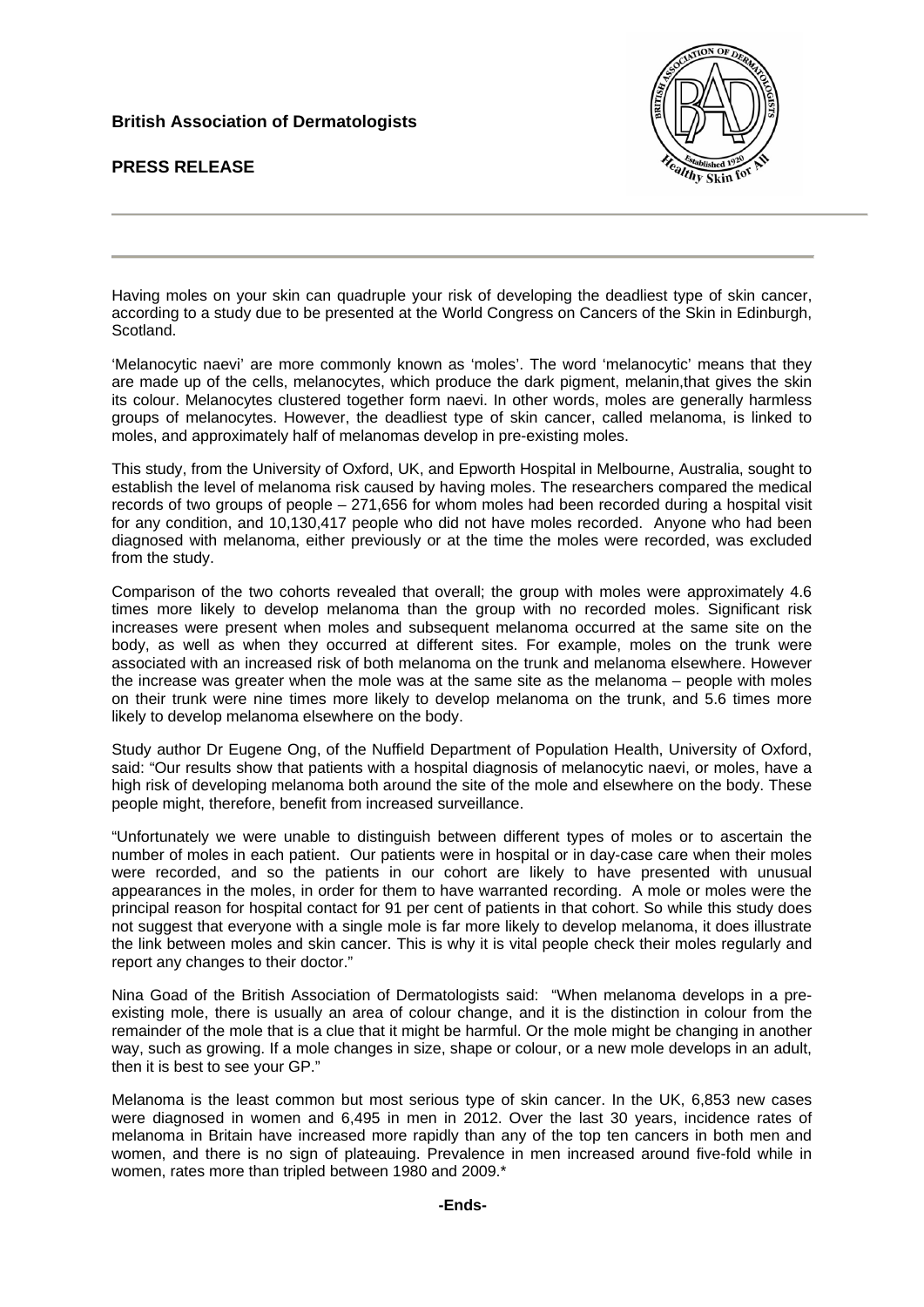## **British Association of Dermatologists**

**PRESS RELEASE** 



Having moles on your skin can quadruple your risk of developing the deadliest type of skin cancer, according to a study due to be presented at the World Congress on Cancers of the Skin in Edinburgh, Scotland.

'Melanocytic naevi' are more commonly known as 'moles'. The word 'melanocytic' means that they are made up of the cells, melanocytes, which produce the dark pigment, melanin,that gives the skin its colour. Melanocytes clustered together form naevi. In other words, moles are generally harmless groups of melanocytes. However, the deadliest type of skin cancer, called melanoma, is linked to moles, and approximately half of melanomas develop in pre-existing moles.

This study, from the University of Oxford, UK, and Epworth Hospital in Melbourne, Australia, sought to establish the level of melanoma risk caused by having moles. The researchers compared the medical records of two groups of people – 271,656 for whom moles had been recorded during a hospital visit for any condition, and 10,130,417 people who did not have moles recorded. Anyone who had been diagnosed with melanoma, either previously or at the time the moles were recorded, was excluded from the study.

Comparison of the two cohorts revealed that overall; the group with moles were approximately 4.6 times more likely to develop melanoma than the group with no recorded moles. Significant risk increases were present when moles and subsequent melanoma occurred at the same site on the body, as well as when they occurred at different sites. For example, moles on the trunk were associated with an increased risk of both melanoma on the trunk and melanoma elsewhere. However the increase was greater when the mole was at the same site as the melanoma – people with moles on their trunk were nine times more likely to develop melanoma on the trunk, and 5.6 times more likely to develop melanoma elsewhere on the body.

Study author Dr Eugene Ong, of the Nuffield Department of Population Health, University of Oxford, said: "Our results show that patients with a hospital diagnosis of melanocytic naevi, or moles, have a high risk of developing melanoma both around the site of the mole and elsewhere on the body. These people might, therefore, benefit from increased surveillance.

"Unfortunately we were unable to distinguish between different types of moles or to ascertain the number of moles in each patient. Our patients were in hospital or in day-case care when their moles were recorded, and so the patients in our cohort are likely to have presented with unusual appearances in the moles, in order for them to have warranted recording. A mole or moles were the principal reason for hospital contact for 91 per cent of patients in that cohort. So while this study does not suggest that everyone with a single mole is far more likely to develop melanoma, it does illustrate the link between moles and skin cancer. This is why it is vital people check their moles regularly and report any changes to their doctor."

Nina Goad of the British Association of Dermatologists said: "When melanoma develops in a preexisting mole, there is usually an area of colour change, and it is the distinction in colour from the remainder of the mole that is a clue that it might be harmful. Or the mole might be changing in another way, such as growing. If a mole changes in size, shape or colour, or a new mole develops in an adult, then it is best to see your GP."

Melanoma is the least common but most serious type of skin cancer. In the UK, 6,853 new cases were diagnosed in women and 6,495 in men in 2012. Over the last 30 years, incidence rates of melanoma in Britain have increased more rapidly than any of the top ten cancers in both men and women, and there is no sign of plateauing. Prevalence in men increased around five-fold while in women, rates more than tripled between 1980 and 2009.\*